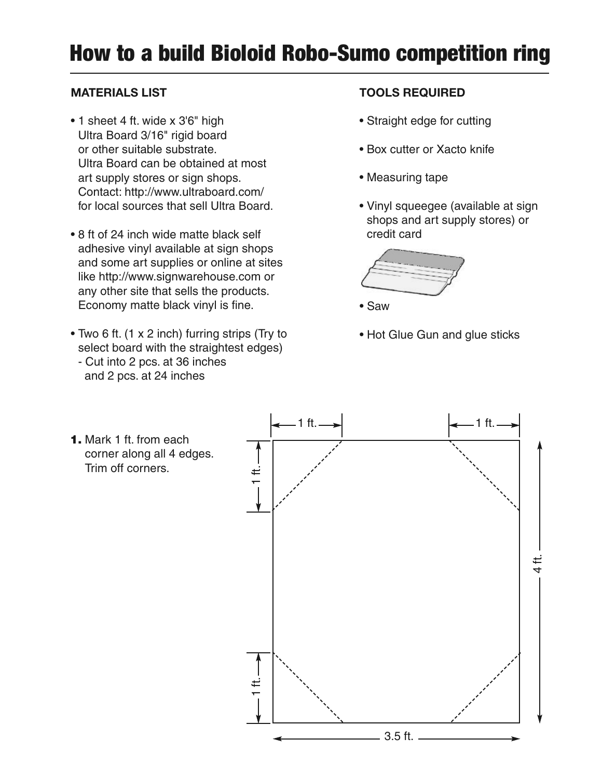## **How to a build Bioloid Robo-Sumo competition ring**

## **MATERIALS LIST**

- 1 sheet 4 ft. wide x 3'6" high Ultra Board 3/16" rigid board or other suitable substrate. Ultra Board can be obtained at most art supply stores or sign shops. Contact: http://www.ultraboard.com/ for local sources that sell Ultra Board.
- 8 ft of 24 inch wide matte black self adhesive vinyl available at sign shops and some art supplies or online at sites like http://www.signwarehouse.com or any other site that sells the products. Economy matte black vinyl is fine.
- Two 6 ft. (1 x 2 inch) furring strips (Try to select board with the straightest edges)
	- Cut into 2 pcs. at 36 inches and 2 pcs. at 24 inches

## **TOOLS REQUIRED**

- Straight edge for cutting
- Box cutter or Xacto knife
- Measuring tape
- Vinyl squeegee (available at sign shops and art supply stores) or credit card



• Saw

• Hot Glue Gun and glue sticks

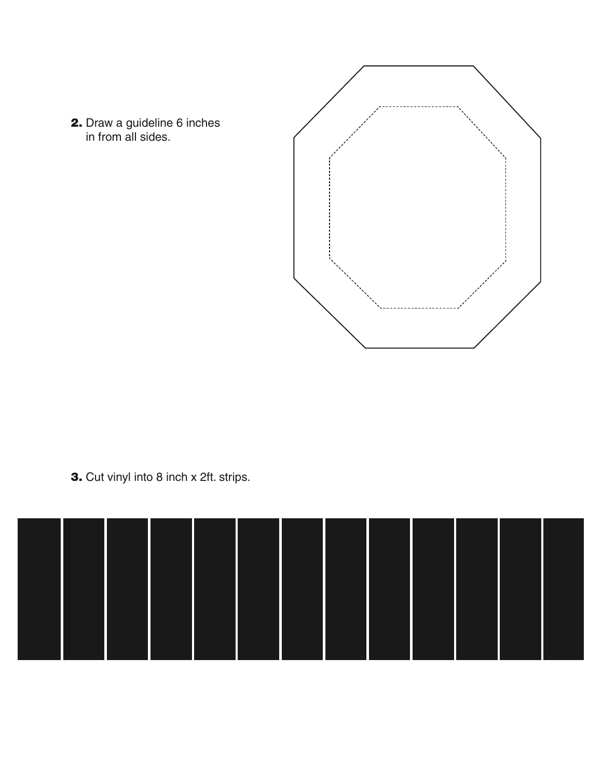



**3.** Cut vinyl into 8 inch x 2ft. strips.

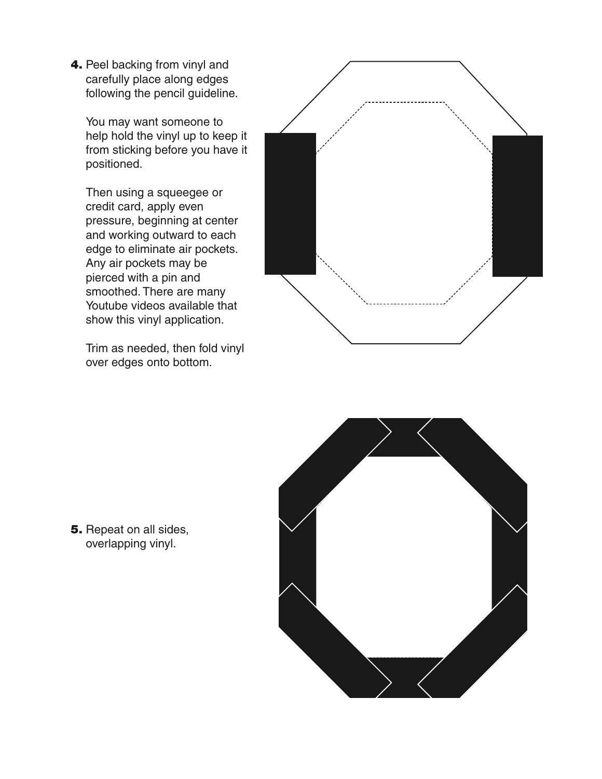**4.** Peel backing from vinyl and carefully place along edges following the pencil guideline.

You may want someone to help hold the vinyl up to keep it from sticking before you have it positioned.

Then using a squeegee or credit card, apply even pressure, beginning at center and working outward to each edge to eliminate air pockets. Any air pockets may be pierced with a pin and smoothed. There are many Youtube videos available that show this vinyl application.

Trim as needed, then fold vinyl over edges onto bottom.





**5.** Repeat on all sides, overlapping vinyl.